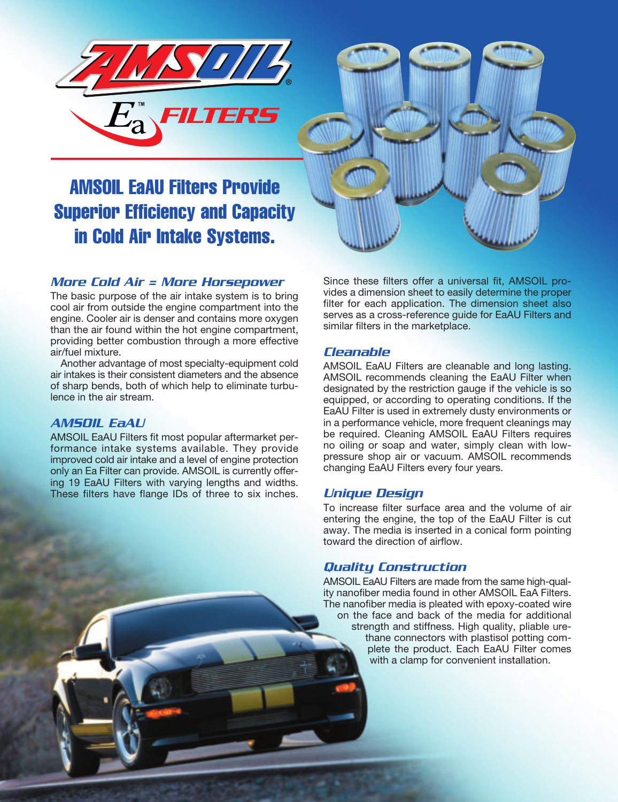

# AMSOIL EaAU Filters Provide Superior Efficiency and Capacity in Cold Air Intake Systems.

# *More Cold Air = More Horsepower*

The basic purpose of the air intake system is to bring cool air from outside the engine compartment into the engine. Cooler air is denser and contains more oxygen than the air found within the hot engine compartment, providing better combustion through a more effective air/fuel mixture.

Another advantage of most specialty-equipment cold air intakes is their consistent diameters and the absence of sharp bends, both of which help to eliminate turbulence in the air stream.

#### *AMSOIL EaAU*

AMSOIL EaAU Filters fit most popular aftermarket performance intake systems available. They provide improved cold air intake and a level of engine protection only an Ea Filter can provide. AMSOIL is currently offering 19 EaAU Filters with varying lengths and widths. These filters have flange IDs of three to six inches. Since these filters offer a universal fit, AMSOIL provides a dimension sheet to easily determine the proper filter for each application. The dimension sheet also serves as a cross-reference guide for EaAU Filters and similar filters in the marketplace.

## *Cleanable*

AMSOIL EaAU Filters are cleanable and long lasting. AMSOIL recommends cleaning the EaAU Filter when designated by the restriction gauge if the vehicle is so equipped, or according to operating conditions. If the EaAU Filter is used in extremely dusty environments or in a performance vehicle, more frequent cleanings may be required. Cleaning AMSOIL EaAU Filters requires no oiling or soap and water, simply clean with lowpressure shop air or vacuum. AMSOIL recommends changing EaAU Filters every four years.

#### *Unique Design*

To increase filter surface area and the volume of air entering the engine, the top of the EaAU Filter is cut away. The media is inserted in a conical form pointing toward the direction of airflow.

# *Quality Construction*

AMSOIL EaAU Filters are made from the same high-quality nanofiber media found in other AMSOIL EaA Filters. The nanofiber media is pleated with epoxy-coated wire on the face and back of the media for additional strength and stiffness. High quality, pliable urethane connectors with plastisol potting complete the product. Each EaAU Filter comes with a clamp for convenient installation.